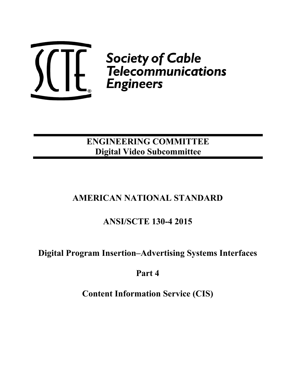

**Society of Cable**<br> **C** Telecommunications<br>
Engineers

# **ENGINEERING COMMITTEE Digital Video Subcommittee**

# **AMERICAN NATIONAL STANDARD**

# **ANSI/SCTE 130-4 2015**

## **Digital Program Insertion–Advertising Systems Interfaces**

## **Part 4**

**Content Information Service (CIS)**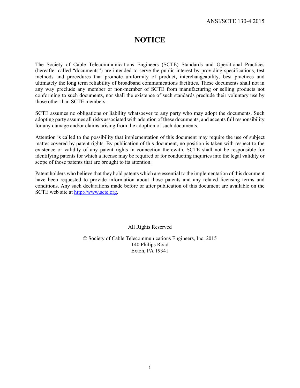## **NOTICE**

The Society of Cable Telecommunications Engineers (SCTE) Standards and Operational Practices (hereafter called "documents") are intended to serve the public interest by providing specifications, test methods and procedures that promote uniformity of product, interchangeability, best practices and ultimately the long term reliability of broadband communications facilities. These documents shall not in any way preclude any member or non-member of SCTE from manufacturing or selling products not conforming to such documents, nor shall the existence of such standards preclude their voluntary use by those other than SCTE members.

SCTE assumes no obligations or liability whatsoever to any party who may adopt the documents. Such adopting party assumes all risks associated with adoption of these documents, and accepts full responsibility for any damage and/or claims arising from the adoption of such documents.

Attention is called to the possibility that implementation of this document may require the use of subject matter covered by patent rights. By publication of this document, no position is taken with respect to the existence or validity of any patent rights in connection therewith. SCTE shall not be responsible for identifying patents for which a license may be required or for conducting inquiries into the legal validity or scope of those patents that are brought to its attention.

Patent holders who believe that they hold patents which are essential to the implementation of this document have been requested to provide information about those patents and any related licensing terms and conditions. Any such declarations made before or after publication of this document are available on the SCTE web site at http://www.scte.org.

All Rights Reserved

© Society of Cable Telecommunications Engineers, Inc. 2015 140 Philips Road Exton, PA 19341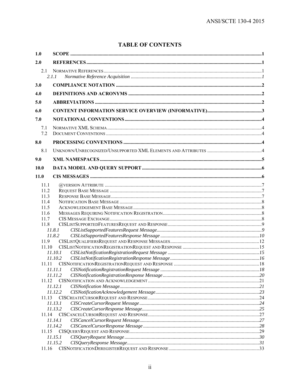## **TABLE OF CONTENTS**

| 1.0        |         |  |
|------------|---------|--|
| 2.0        |         |  |
| 2.1        |         |  |
|            | 2.1.1   |  |
| 3.0        |         |  |
| 4.0        |         |  |
| 5.0        |         |  |
| 6.0        |         |  |
| 7.0        |         |  |
|            |         |  |
| 7.1<br>7.2 |         |  |
| 8.0        |         |  |
| 8.1        |         |  |
| 9.0        |         |  |
|            |         |  |
| 10.0       |         |  |
| 11.0       |         |  |
| 11.1       |         |  |
| 11.2       |         |  |
| 11.3       |         |  |
| 11.4       |         |  |
| 11.5       |         |  |
| 11.6       |         |  |
| 11.7       |         |  |
| 11.8       |         |  |
|            | 11.8.1  |  |
|            | 11.8.2  |  |
| 11.9       |         |  |
| 11.10      |         |  |
|            | 11.10.1 |  |
|            | 11.10.2 |  |
| 11.11      |         |  |
|            | 11.11.2 |  |
| 11.12      |         |  |
|            | 11.12.1 |  |
|            | 11.12.2 |  |
| 11.13      |         |  |
|            | 11.13.1 |  |
|            | 11.13.2 |  |
| 11.14      |         |  |
|            | 11.14.1 |  |
|            | 11.14.2 |  |
| 11.15      |         |  |
|            | 11.15.1 |  |
|            | 11.15.2 |  |
| 11.16      |         |  |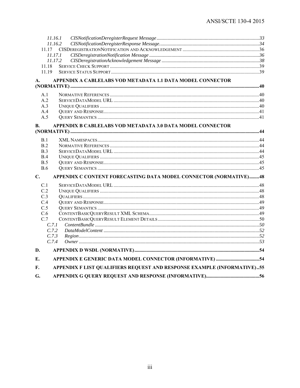| 11.17<br>11.18<br>11.19                                  | 11.16.1<br>11.16.2<br>11.17.1<br>11.17.2                                |  |
|----------------------------------------------------------|-------------------------------------------------------------------------|--|
| A.                                                       | APPENDIX A CABLELABS VOD METADATA 1.1 DATA MODEL CONNECTOR              |  |
| A.1<br>A.2<br>A.3<br>A.4<br>A.5<br>В.                    | APPENDIX B CABLELABS VOD METADATA 3.0 DATA MODEL CONNECTOR              |  |
|                                                          |                                                                         |  |
| B.1<br>B.2<br>B.3<br>B.4<br>B.5<br>B.6                   |                                                                         |  |
| $C_{\bullet}$                                            | APPENDIX C CONTENT FORECASTING DATA MODEL CONNECTOR (NORMATIVE)48       |  |
| C.1<br>C.2<br>C <sub>3</sub><br>C.4<br>C.5<br>C.6<br>C.7 | C.7.1<br>C.7.2<br>C.7.3<br>C.7.4                                        |  |
| D.                                                       |                                                                         |  |
| Е.                                                       |                                                                         |  |
| F.                                                       | APPENDIX F LIST QUALIFIERS REQUEST AND RESPONSE EXAMPLE (INFORMATIVE)55 |  |
| G.                                                       |                                                                         |  |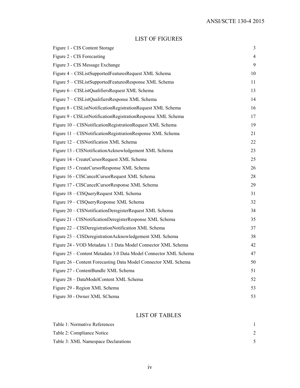## LIST OF FIGURES

| Figure 1 - CIS Content Storage                                   | 3  |
|------------------------------------------------------------------|----|
| Figure 2 - CIS Forecasting                                       | 4  |
| Figure 3 - CIS Message Exchange                                  | 9  |
| Figure 4 - CISListSupportedFeaturesRequest XML Schema            | 10 |
| Figure 5 - CISListSupportedFeaturesResponse XML Schema           | 11 |
| Figure 6 - CISListQualifiersRequest XML Schema                   | 13 |
| Figure 7 – CISListQualifiersResponse XML Schema                  | 14 |
| Figure 8 - CISListNotificationRegistrationRequest XML Schema     | 16 |
| Figure 9 - CISListNotificationRegistrationResponse XML Schema    | 17 |
| Figure 10 - CISNotificationRegistrationRequest XML Schema        | 19 |
| Figure 11 - CISNotificationRegistrationResponse XML Schema       | 21 |
| Figure 12 - CISNotification XML Schema                           | 22 |
| Figure 13 - CISNotificationAcknowledgement XML Schema            | 23 |
| Figure 14 - CreateCursorRequest XML Schema                       | 25 |
| Figure 15 - CreateCursorResponse XML Schema                      | 26 |
| Figure 16 - CISCancelCursorRequest XML Schema                    | 28 |
| Figure 17 - CISCancelCursorResponse XML Schema                   | 29 |
| Figure 18 - CISQueryRequest XML Schema                           | 31 |
| Figure 19 - CISQueryResponse XML Schema                          | 32 |
| Figure 20 - CISNotificationDeregisterRequest XML Schema          | 34 |
| Figure 21 - CISNotificationDeregisterResponse XML Schema         | 35 |
| Figure 22 - CISDeregistrationNotification XML Schema             | 37 |
| Figure 23 – CISDeregistrationAcknowledgement XML Schema          | 38 |
| Figure 24 - VOD Metadata 1.1 Data Model Connector XML Schema     | 42 |
| Figure 25 – Content Metadata 3.0 Data Model Connector XML Schema | 47 |
| Figure 26 - Content Forecasting Data Model Connector XML Schema  | 50 |
| Figure 27 - ContentBundle XML Schema                             | 51 |
| Figure 28 - DataModelContent XML Schema                          | 52 |
| Figure 29 - Region XML Schema                                    | 53 |
| Figure 30 - Owner XML SChema                                     | 53 |

## LIST OF TABLES

| Table 1: Normative References       |  |
|-------------------------------------|--|
| Table 2: Compliance Notice          |  |
| Table 3: XML Namespace Declarations |  |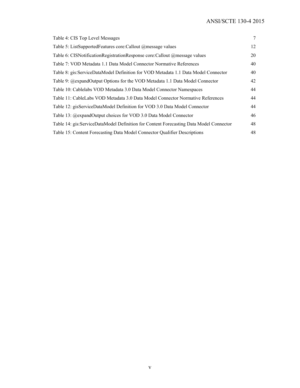| Table 4: CIS Top Level Messages                                                         | 7  |
|-----------------------------------------------------------------------------------------|----|
| Table 5: ListSupportedFeatures core:Callout @message values                             | 12 |
| Table 6: CISNotificationRegistrationResponse core: Callout @message values              | 20 |
| Table 7: VOD Metadata 1.1 Data Model Connector Normative References                     | 40 |
| Table 8: gis:ServiceDataModel Definition for VOD Metadata 1.1 Data Model Connector      | 40 |
| Table 9: @expandOutput Options for the VOD Metadata 1.1 Data Model Connector            | 42 |
| Table 10: Cablelabs VOD Metadata 3.0 Data Model Connector Namespaces                    | 44 |
| Table 11: CableLabs VOD Metadata 3.0 Data Model Connector Normative References          | 44 |
| Table 12: gisServiceDataModel Definition for VOD 3.0 Data Model Connector               | 44 |
| Table 13: @expandOutput choices for VOD 3.0 Data Model Connector                        | 46 |
| Table 14: gis: ServiceDataModel Definition for Content Forecasting Data Model Connector | 48 |
| Table 15: Content Forecasting Data Model Connector Qualifier Descriptions               | 48 |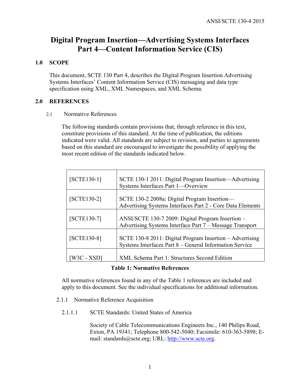## **Digital Program Insertion—Advertising Systems Interfaces Part 4—Content Information Service (CIS)**

## **1.0 SCOPE**

This document, SCTE 130 Part 4, describes the Digital Program Insertion Advertising Systems Interfaces' Content Information Service (CIS) messaging and data type specification using XML, XML Namespaces, and XML Schema.

## **2.0 REFERENCES**

## 2.1 Normative References

The following standards contain provisions that, through reference in this text, constitute provisions of this standard. At the time of publication, the editions indicated were valid. All standards are subject to revision, and parties to agreements based on this standard are encouraged to investigate the possibility of applying the most recent edition of the standards indicated below.

| $[SCTE130-1]$ | SCTE 130-1 2011: Digital Program Insertion—Advertising<br>Systems Interfaces Part 1—Overview                        |
|---------------|---------------------------------------------------------------------------------------------------------------------|
| $[SCTE130-2]$ | SCTE 130-2 2008a: Digital Program Insertion-<br>Advertising Systems Interfaces Part 2 - Core Data Elements          |
| $[SCTE130-7]$ | ANSI/SCTE 130-7 2009: Digital Program Insertion -<br>Advertising Systems Interface Part 7 – Message Transport       |
| $[SCTE130-8]$ | SCTE 130-8 2011: Digital Program Insertion - Advertising<br>Systems Interfaces Part 8 – General Information Service |
| W3C - XSD]    | <b>XML Schema Part 1: Structures Second Edition</b>                                                                 |

#### **Table 1: Normative References**

All normative references found in any of the Table 1 references are included and apply to this document. See the individual specifications for additional information.

- 2.1.1 Normative Reference Acquisition
	- 2.1.1.1 SCTE Standards: United States of America

Society of Cable Telecommunications Engineers Inc., 140 Philips Road, Exton, PA 19341; Telephone 800-542-5040; Facsimile: 610-363-5898; Email: standards@scte.org; URL: http://www.scte.org.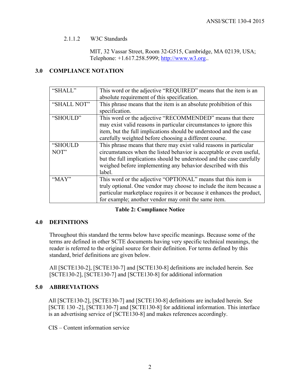#### 2.1.1.2 W3C Standards

MIT, 32 Vassar Street, Room 32-G515, Cambridge, MA 02139, USA; Telephone: +1.617.258.5999; http://www.w3.org..

## **3.0 COMPLIANCE NOTATION**

| "SHALL"     | This word or the adjective "REQUIRED" means that the item is an        |  |
|-------------|------------------------------------------------------------------------|--|
|             | absolute requirement of this specification.                            |  |
| "SHALL NOT" | This phrase means that the item is an absolute prohibition of this     |  |
|             | specification.                                                         |  |
| "SHOULD"    | This word or the adjective "RECOMMENDED" means that there              |  |
|             | may exist valid reasons in particular circumstances to ignore this     |  |
|             | item, but the full implications should be understood and the case      |  |
|             | carefully weighted before choosing a different course.                 |  |
| "SHOULD     | This phrase means that there may exist valid reasons in particular     |  |
| NOT"        | circumstances when the listed behavior is acceptable or even useful,   |  |
|             | but the full implications should be understood and the case carefully  |  |
|             | weighed before implementing any behavior described with this           |  |
|             | label.                                                                 |  |
| " $MAX"$    | This word or the adjective "OPTIONAL" means that this item is          |  |
|             | truly optional. One vendor may choose to include the item because a    |  |
|             | particular marketplace requires it or because it enhances the product, |  |
|             | for example; another vendor may omit the same item.                    |  |

#### **Table 2: Compliance Notice**

## **4.0 DEFINITIONS**

Throughout this standard the terms below have specific meanings. Because some of the terms are defined in other SCTE documents having very specific technical meanings, the reader is referred to the original source for their definition. For terms defined by this standard, brief definitions are given below.

All [SCTE130-2], [SCTE130-7] and [SCTE130-8] definitions are included herein. See [SCTE130-2], [SCTE130-7] and [SCTE130-8] for additional information

## **5.0 ABBREVIATIONS**

All [SCTE130-2], [SCTE130-7] and [SCTE130-8] definitions are included herein. See [SCTE 130 -2], [SCTE130-7] and [SCTE130-8] for additional information. This interface is an advertising service of [SCTE130-8] and makes references accordingly.

CIS – Content information service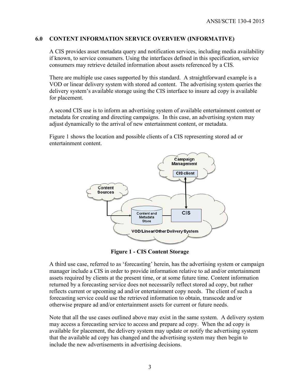#### **6.0 CONTENT INFORMATION SERVICE OVERVIEW (INFORMATIVE)**

A CIS provides asset metadata query and notification services, including media availability if known, to service consumers. Using the interfaces defined in this specification, service consumers may retrieve detailed information about assets referenced by a CIS.

There are multiple use cases supported by this standard. A straightforward example is a VOD or linear delivery system with stored ad content. The advertising system queries the delivery system's available storage using the CIS interface to insure ad copy is available for placement.

A second CIS use is to inform an advertising system of available entertainment content or metadata for creating and directing campaigns. In this case, an advertising system may adjust dynamically to the arrival of new entertainment content, or metadata.

Figure 1 shows the location and possible clients of a CIS representing stored ad or entertainment content.



**Figure 1 - CIS Content Storage** 

A third use case, referred to as 'forecasting' herein, has the advertising system or campaign manager include a CIS in order to provide information relative to ad and/or entertainment assets required by clients at the present time, or at some future time. Content information returned by a forecasting service does not necessarily reflect stored ad copy, but rather reflects current or upcoming ad and/or entertainment copy needs. The client of such a forecasting service could use the retrieved information to obtain, transcode and/or otherwise prepare ad and/or entertainment assets for current or future needs.

Note that all the use cases outlined above may exist in the same system. A delivery system may access a forecasting service to access and prepare ad copy. When the ad copy is available for placement, the delivery system may update or notify the advertising system that the available ad copy has changed and the advertising system may then begin to include the new advertisements in advertising decisions.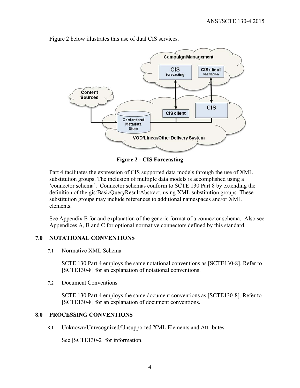

Figure 2 below illustrates this use of dual CIS services.

**Figure 2 - CIS Forecasting**

Part 4 facilitates the expression of CIS supported data models through the use of XML substitution groups. The inclusion of multiple data models is accomplished using a 'connector schema'. Connector schemas conform to SCTE 130 Part 8 by extending the definition of the gis:BasicQueryResultAbstract, using XML substitution groups. These substitution groups may include references to additional namespaces and/or XML elements.

See Appendix E for and explanation of the generic format of a connector schema. Also see Appendices A, B and C for optional normative connectors defined by this standard.

## **7.0 NOTATIONAL CONVENTIONS**

7.1 Normative XML Schema

SCTE 130 Part 4 employs the same notational conventions as [SCTE130-8]. Refer to [SCTE130-8] for an explanation of notational conventions.

7.2 Document Conventions

SCTE 130 Part 4 employs the same document conventions as [SCTE130-8]. Refer to [SCTE130-8] for an explanation of document conventions.

#### **8.0 PROCESSING CONVENTIONS**

8.1 Unknown/Unrecognized/Unsupported XML Elements and Attributes

See [SCTE130-2] for information.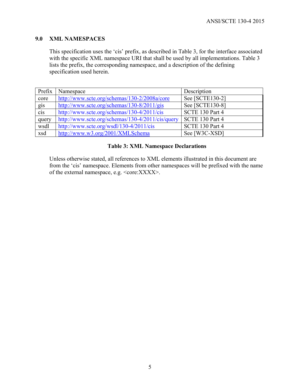## **9.0 XML NAMESPACES**

This specification uses the 'cis' prefix, as described in Table 3, for the interface associated with the specific XML namespace URI that shall be used by all implementations. Table 3 lists the prefix, the corresponding namespace, and a description of the defining specification used herein.

| Prefix            | Namespace                                        | Description     |
|-------------------|--------------------------------------------------|-----------------|
| core              | http://www.scte.org/schemas/130-2/2008a/core     | See [SCTE130-2] |
| $\frac{gis}{cis}$ | http://www.scte.org/schemas/130-8/2011/gis       | See [SCTE130-8] |
|                   | http://www.scte.org/schemas/130-4/2011/cis       | SCTE 130 Part 4 |
| query             | http://www.scte.org/schemas/130-4/2011/cis/query | SCTE 130 Part 4 |
| wsdl              | http://www.scte.org/wsdl/130-4/2011/cis          | SCTE 130 Part 4 |
| xsd               | http://www.w3.org/2001/XMLSchema                 | See [W3C-XSD]   |

#### **Table 3: XML Namespace Declarations**

Unless otherwise stated, all references to XML elements illustrated in this document are from the 'cis' namespace. Elements from other namespaces will be prefixed with the name of the external namespace, e.g.  $\leq$ core: $XXX$ >.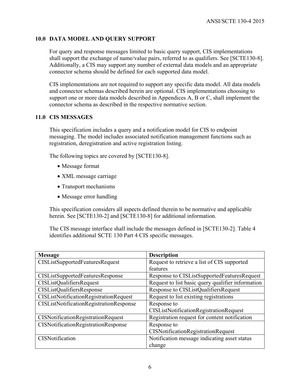## **10.0 DATA MODEL AND QUERY SUPPORT**

For query and response messages limited to basic query support, CIS implementations shall support the exchange of name/value pairs, referred to as qualifiers. See [SCTE130-8]. Additionally, a CIS may support any number of external data models and an appropriate connector schema should be defined for each supported data model.

CIS implementations are not required to support any specific data model. All data models and connector schemas described herein are optional. CIS implementations choosing to support one or more data models described in Appendices A, B or C, shall implement the connector schema as described in the respective normative section.

## **11.0 CIS MESSAGES**

This specification includes a query and a notification model for CIS to endpoint messaging. The model includes associated notification management functions such as registration, deregistration and active registration listing.

The following topics are covered by [SCTE130-8].

- Message format
- XML message carriage
- Transport mechanisms
- Message error handling

This specification considers all aspects defined therein to be normative and applicable herein. See [SCTE130-2] and [SCTE130-8] for additional information.

The CIS message interface shall include the messages defined in [SCTE130-2]. Table 4 identifies additional SCTE 130 Part 4 CIS specific messages.

| <b>Message</b>                                 | <b>Description</b>                                |
|------------------------------------------------|---------------------------------------------------|
| <b>CISListSupportedFeaturesRequest</b>         | Request to retrieve a list of CIS supported       |
|                                                | features                                          |
| <b>CISListSupportedFeaturesResponse</b>        | Response to CISListSupportedFeaturesRequest       |
| <b>CISListQualifiersRequest</b>                | Request to list basic query qualifier information |
| <b>CISListQualifiersResponse</b>               | Response to CISListQualifiersRequest              |
| CISListNotificationRegistrationRequest         | Request to list existing registrations            |
| <b>CISListNotificationRegistrationResponse</b> | Response to                                       |
|                                                | <b>CISListNotificationRegistrationRequest</b>     |
| <b>CISNotificationRegistrationRequest</b>      | Registration request for content notification     |
| <b>CISNotificationRegistrationResponse</b>     | Response to                                       |
|                                                | <b>CISNotificationRegistrationRequest</b>         |
| <b>CISNotification</b>                         | Notification message indicating asset status      |
|                                                | change                                            |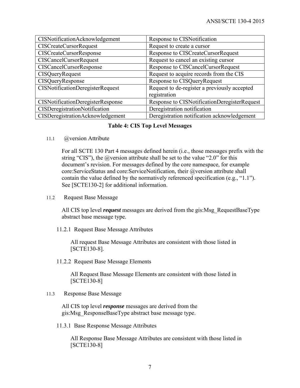| CISNotificationAcknowledgement          | Response to CISNotification                  |
|-----------------------------------------|----------------------------------------------|
| <b>CISCreateCursorRequest</b>           | Request to create a cursor                   |
| <b>CISCreateCursorResponse</b>          | Response to CISCreateCursorRequest           |
| <b>CISCancelCursorRequest</b>           | Request to cancel an existing cursor         |
| <b>CISCancelCursorResponse</b>          | Response to CISCancelCursorRequest           |
| <b>CISQueryRequest</b>                  | Request to acquire records from the CIS      |
| CISQueryResponse                        | Response to CISQueryRequest                  |
| CISNotificationDeregisterRequest        | Request to de-register a previously accepted |
|                                         | registration                                 |
| CISNotificationDeregisterResponse       | Response to CISNotificationDeregisterRequest |
| CISDeregistrationNotification           | Deregistration notification                  |
| <b>CISDeregistrationAcknowledgement</b> | Deregistration notification acknowledgement  |

#### **Table 4: CIS Top Level Messages**

11.1 @version Attribute

For all SCTE 130 Part 4 messages defined herein (i.e., those messages prefix with the string "CIS"), the  $@v$  version attribute shall be set to the value "2.0" for this document's revision. For messages defined by the core namespace, for example core:ServiceStatus and core:ServiceNotification, their @version attribute shall contain the value defined by the normatively referenced specification (e.g., "1.1"). See [SCTE130-2] for additional information.

11.2 Request Base Message

All CIS top level *request* messages are derived from the gis:Msg\_RequestBaseType abstract base message type.

11.2.1 Request Base Message Attributes

All request Base Message Attributes are consistent with those listed in [SCTE130-8].

11.2.2 Request Base Message Elements

All Request Base Message Elements are consistent with those listed in [SCTE130-8]

11.3 Response Base Message

All CIS top level *response* messages are derived from the gis:Msg\_ResponseBaseType abstract base message type.

11.3.1 Base Response Message Attributes

All Response Base Message Attributes are consistent with those listed in [SCTE130-8]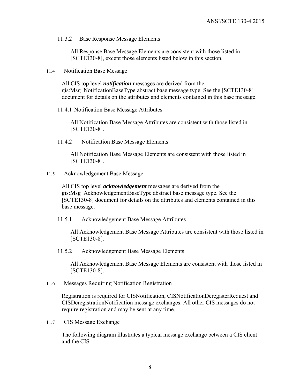11.3.2 Base Response Message Elements

All Response Base Message Elements are consistent with those listed in [SCTE130-8], except those elements listed below in this section.

11.4 Notification Base Message

All CIS top level *notification* messages are derived from the gis:Msg\_NotificationBaseType abstract base message type. See the [SCTE130-8] document for details on the attributes and elements contained in this base message.

11.4.1 Notification Base Message Attributes

All Notification Base Message Attributes are consistent with those listed in [SCTE130-8].

11.4.2 Notification Base Message Elements

All Notification Base Message Elements are consistent with those listed in [SCTE130-8].

11.5 Acknowledgement Base Message

All CIS top level *acknowledgement* messages are derived from the gis:Msg\_AcknowledgementBaseType abstract base message type. See the [SCTE130-8] document for details on the attributes and elements contained in this base message.

11.5.1 Acknowledgement Base Message Attributes

All Acknowledgement Base Message Attributes are consistent with those listed in [SCTE130-8].

11.5.2 Acknowledgement Base Message Elements

All Acknowledgement Base Message Elements are consistent with those listed in [SCTE130-8].

11.6 Messages Requiring Notification Registration

Registration is required for CISNotification, CISNotificationDeregisterRequest and CISDeregistrationNotification message exchanges. All other CIS messages do not require registration and may be sent at any time.

11.7 CIS Message Exchange

The following diagram illustrates a typical message exchange between a CIS client and the CIS.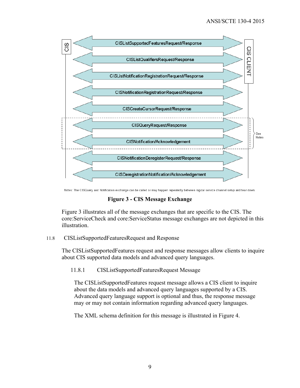

Notes: The CISQuery and Notification exchange can be called or may happen repeatedly between logical service channel setup and tear down.

**Figure 3 - CIS Message Exchange** 

Figure 3 illustrates all of the message exchanges that are specific to the CIS. The core:ServiceCheck and core:ServiceStatus message exchanges are not depicted in this illustration.

#### 11.8 CISListSupportedFeaturesRequest and Response

The CISListSupportedFeatures request and response messages allow clients to inquire about CIS supported data models and advanced query languages.

11.8.1 CISListSupportedFeaturesRequest Message

The CISListSupportedFeatures request message allows a CIS client to inquire about the data models and advanced query languages supported by a CIS. Advanced query language support is optional and thus, the response message may or may not contain information regarding advanced query languages.

The XML schema definition for this message is illustrated in Figure 4.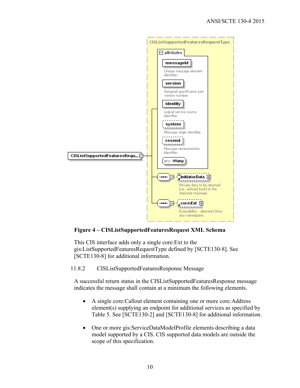

## **Figure 4 – CISListSupportedFeaturesRequest XML Schema**

This CIS interface adds only a single core:Ext to the gis:ListSupportedFeaturesRequestType defined by [SCTE130-8]. See [SCTE130-8] for additional information.

11.8.2 CISListSupportedFeaturesResponse Message

A successful return status in the CISListSupportedFeaturesResponse message indicates the message shall contain at a minimum the following elements.

- A single core:Callout element containing one or more core:Address element(s) supplying an endpoint for additional services as specified by Table 5. See [SCTE130-2] and [SCTE130-8] for additional information.
- One or more gis:ServiceDataModelProfile elements describing a data model supported by a CIS. CIS supported data models are outside the scope of this specification.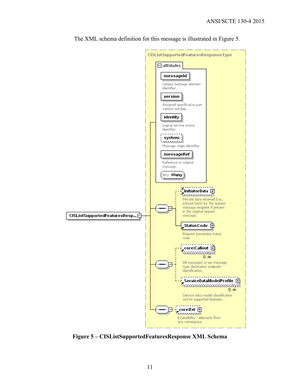

The XML schema definition for this message is illustrated in Figure 5.

**Figure 5 – CISListSupportedFeaturesResponse XML Schema**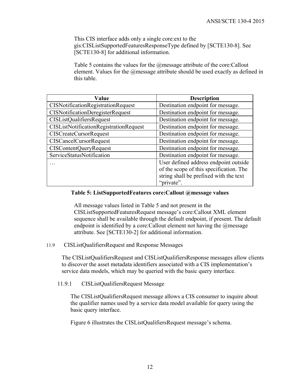This CIS interface adds only a single core:ext to the gis:CISListSupportedFeaturesResponseType defined by [SCTE130-8]. See [SCTE130-8] for additional information.

Table 5 contains the values for the @message attribute of the core:Callout element. Values for the @message attribute should be used exactly as defined in this table.

| Value                                         | <b>Description</b>                      |
|-----------------------------------------------|-----------------------------------------|
| CISNotificationRegistrationRequest            | Destination endpoint for message.       |
| CISNotificationDeregisterRequest              | Destination endpoint for message.       |
| <b>CISListQualifiersRequest</b>               | Destination endpoint for message.       |
| <b>CISListNotificationRegistrationRequest</b> | Destination endpoint for message.       |
| <b>CISCreateCursorRequest</b>                 | Destination endpoint for message.       |
| <b>CISCancelCursorRequest</b>                 | Destination endpoint for message.       |
| <b>CISContentQueryRequest</b>                 | Destination endpoint for message.       |
| ServiceStatusNotification                     | Destination endpoint for message.       |
|                                               | User defined address endpoint outside   |
|                                               | of the scope of this specification. The |
|                                               | string shall be prefixed with the text  |
|                                               | "private".                              |

#### **Table 5: ListSupportedFeatures core:Callout @message values**

All message values listed in Table 5 and not present in the CISListSupportedFeaturesRequest message's core:Callout XML element sequence shall be available through the default endpoint, if present. The default endpoint is identified by a core: Callout element not having the  $@$ message attribute. See [SCTE130-2] for additional information.

#### 11.9 CISListQualifiersRequest and Response Messages

The CISListQualifiersRequest and CISListQualifiersResponse messages allow clients to discover the asset metadata identifiers associated with a CIS implementation's service data models, which may be queried with the basic query interface.

#### 11.9.1 CISListQualifiersRequest Message

The CISListQualifiersRequest message allows a CIS consumer to inquire about the qualifier names used by a service data model available for query using the basic query interface.

Figure 6 illustrates the CISListQualifiersRequest message's schema.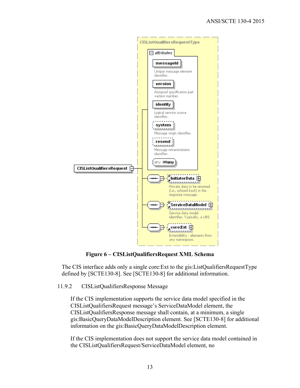

**Figure 6 – CISListQualifiersRequest XML Schema**

The CIS interface adds only a single core:Ext to the gis:ListQualifiersRequestType defined by [SCTE130-8]. See [SCTE130-8] for additional information.

11.9.2 CISListQualifiersResponse Message

If the CIS implementation supports the service data model specified in the CISListQualifiersRequest message's ServiceDataModel element, the CISListQualifiersResponse message shall contain, at a minimum, a single gis:BasicQueryDataModelDescription element. See [SCTE130-8] for additional information on the gis:BasicQueryDataModelDescription element.

If the CIS implementation does not support the service data model contained in the CISListQualifiersRequest/ServiceDataModel element, no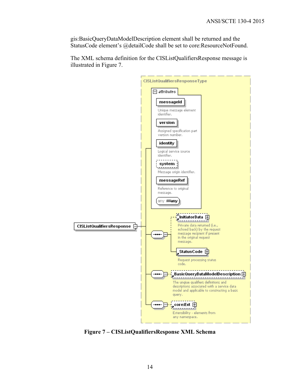gis:BasicQueryDataModelDescription element shall be returned and the StatusCode element's @detailCode shall be set to core:ResourceNotFound.

The XML schema definition for the CISListQualifiersResponse message is illustrated in Figure 7.



**Figure 7 – CISListQualifiersResponse XML Schema**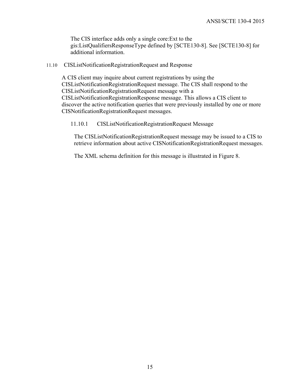The CIS interface adds only a single core:Ext to the gis:ListQualifiersResponseType defined by [SCTE130-8]. See [SCTE130-8] for additional information.

#### 11.10 CISListNotificationRegistrationRequest and Response

A CIS client may inquire about current registrations by using the CISListNotificationRegistrationRequest message. The CIS shall respond to the CISListNotificationRegistrationRequest message with a CISListNotificationRegistrationResponse message. This allows a CIS client to discover the active notification queries that were previously installed by one or more CISNotificationRegistrationRequest messages.

11.10.1 CISListNotificationRegistrationRequest Message

The CISListNotificationRegistrationRequest message may be issued to a CIS to retrieve information about active CISNotificationRegistrationRequest messages.

The XML schema definition for this message is illustrated in Figure 8.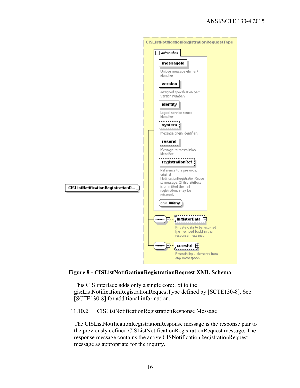

**Figure 8 - CISListNotificationRegistrationRequest XML Schema** 

This CIS interface adds only a single core:Ext to the gis:ListNotificationRegistrationRequestType defined by [SCTE130-8]. See [SCTE130-8] for additional information.

11.10.2 CISListNotificationRegistrationResponse Message

The CISListNotificationRegistrationResponse message is the response pair to the previously defined CISListNotificationRegistrationRequest message. The response message contains the active CISNotificationRegistrationRequest message as appropriate for the inquiry.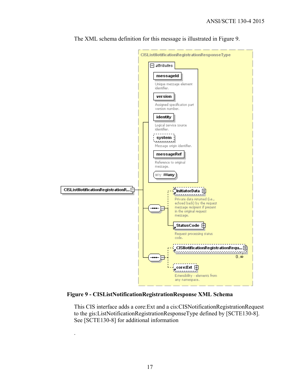

The XML schema definition for this message is illustrated in Figure 9.

**Figure 9 - CISListNotificationRegistrationResponse XML Schema** 

This CIS interface adds a core:Ext and a cis:CISNotificationRegistrationRequest to the gis:ListNotificationRegistrationResponseType defined by [SCTE130-8]. See [SCTE130-8] for additional information

.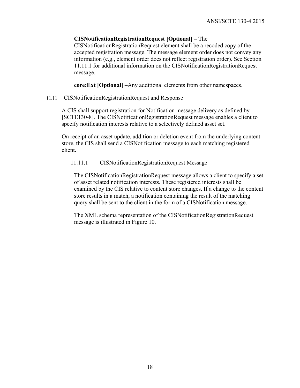## **CISNotificationRegistrationRequest [Optional] –** The

CISNotificationRegistrationRequest element shall be a recoded copy of the accepted registration message. The message element order does not convey any information (e.g., element order does not reflect registration order). See Section 11.11.1 for additional information on the CISNotificationRegistrationRequest message.

**core:Ext [Optional]** –Any additional elements from other namespaces.

11.11 CISNotificationRegistrationRequest and Response

A CIS shall support registration for Notification message delivery as defined by [SCTE130-8]. The CISNotificationRegistrationRequest message enables a client to specify notification interests relative to a selectively defined asset set.

On receipt of an asset update, addition or deletion event from the underlying content store, the CIS shall send a CISNotification message to each matching registered client.

11.11.1 CISNotificationRegistrationRequest Message

The CISNotificationRegistrationRequest message allows a client to specify a set of asset related notification interests. These registered interests shall be examined by the CIS relative to content store changes. If a change to the content store results in a match, a notification containing the result of the matching query shall be sent to the client in the form of a CISNotification message.

The XML schema representation of the CISNotificationRegistrationRequest message is illustrated in Figure 10.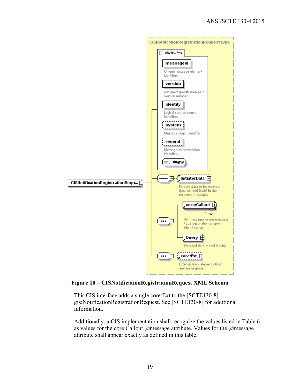

**Figure 10 – CISNotificationRegistrationRequest XML Schema** 

This CIS interface adds a single core:Ext to the [SCTE130-8] gis:NotificationRegistrationRequest. See [SCTE130-8] for additional information.

Additionally, a CIS implementation shall recognize the values listed in Table 6 as values for the core:Callout @message attribute. Values for the @message attribute shall appear exactly as defined in this table.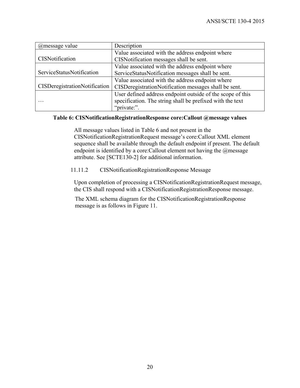| @message value                       | Description                                                |
|--------------------------------------|------------------------------------------------------------|
|                                      | Value associated with the address endpoint where           |
| <b>CISNotification</b>               | CISNotification messages shall be sent.                    |
|                                      | Value associated with the address endpoint where           |
| ServiceStatusNotification            | ServiceStatusNotification messages shall be sent.          |
|                                      | Value associated with the address endpoint where           |
| <b>CISDeregistrationNotification</b> | CISDeregistrationNotification messages shall be sent.      |
|                                      | User defined address endpoint outside of the scope of this |
|                                      | specification. The string shall be prefixed with the text  |
|                                      | "private:".                                                |

#### **Table 6: CISNotificationRegistrationResponse core:Callout @message values**

All message values listed in Table 6 and not present in the CISNotificationRegistrationRequest message's core:Callout XML element sequence shall be available through the default endpoint if present. The default endpoint is identified by a core:Callout element not having the @message attribute. See [SCTE130-2] for additional information.

11.11.2 CISNotificationRegistrationResponse Message

Upon completion of processing a CISNotificationRegistrationRequest message, the CIS shall respond with a CISNotificationRegistrationResponse message.

The XML schema diagram for the CISNotificationRegistrationResponse message is as follows in Figure 11.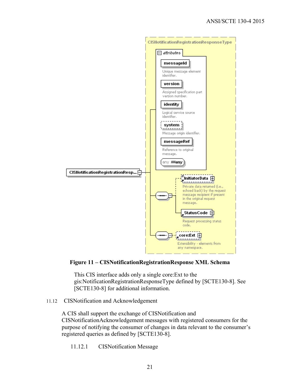

**Figure 11 – CISNotificationRegistrationResponse XML Schema** 

This CIS interface adds only a single core:Ext to the gis:NotificationRegistrationResponseType defined by [SCTE130-8]. See [SCTE130-8] for additional information.

11.12 CISNotification and Acknowledgement

A CIS shall support the exchange of CISNotification and CISNotificationAcknowledgement messages with registered consumers for the purpose of notifying the consumer of changes in data relevant to the consumer's registered queries as defined by [SCTE130-8].

11.12.1 CISNotification Message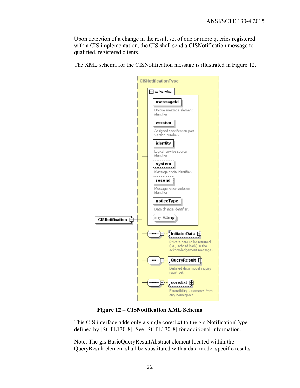Upon detection of a change in the result set of one or more queries registered with a CIS implementation, the CIS shall send a CISNotification message to qualified, registered clients.

The XML schema for the CISNotification message is illustrated in Figure 12.



**Figure 12 – CISNotification XML Schema** 

This CIS interface adds only a single core:Ext to the gis:NotificationType defined by [SCTE130-8]. See [SCTE130-8] for additional information.

Note: The gis:BasicQueryResultAbstract element located within the QueryResult element shall be substituted with a data model specific results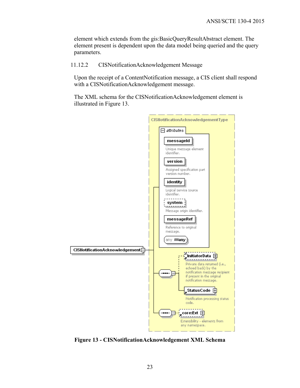element which extends from the gis:BasicQueryResultAbstract element. The element present is dependent upon the data model being queried and the query parameters.

#### 11.12.2 CISNotificationAcknowledgement Message

Upon the receipt of a ContentNotification message, a CIS client shall respond with a CISNotificationAcknowledgement message.

The XML schema for the CISNotificationAcknowledgement element is illustrated in Figure 13.



**Figure 13 - CISNotificationAcknowledgement XML Schema**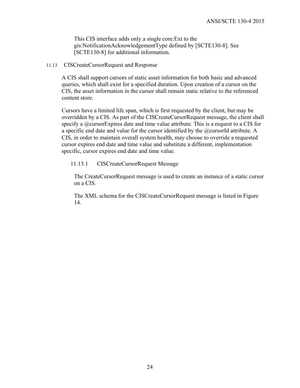This CIS interface adds only a single core:Ext to the gis:NotificationAcknowledgementType defined by [SCTE130-8]. See [SCTE130-8] for additional information.

#### 11.13 CISCreateCursorRequest and Response

A CIS shall support cursors of static asset information for both basic and advanced queries, which shall exist for a specified duration. Upon creation of a cursor on the CIS, the asset information in the cursor shall remain static relative to the referenced content store.

Cursors have a limited life span, which is first requested by the client, but may be overridden by a CIS. As part of the CISCreateCursorRequest message, the client shall specify a  $@$ cursorExpires date and time value attribute. This is a request to a CIS for a specific end date and value for the cursor identified by the @cursorId attribute. A CIS, in order to maintain overall system health, may choose to override a requested cursor expires end date and time value and substitute a different, implementation specific, cursor expires end date and time value.

#### 11.13.1 CISCreateCursorRequest Message

The CreateCursorRequest message is used to create an instance of a static cursor on a CIS.

The XML schema for the CISCreateCursorRequest message is listed in Figure 14.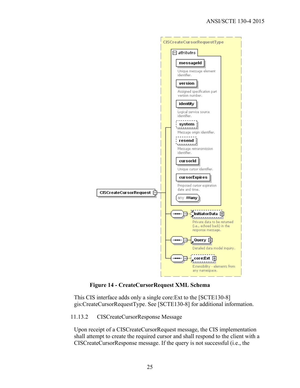

**Figure 14 - CreateCursorRequest XML Schema** 

This CIS interface adds only a single core:Ext to the [SCTE130-8] gis:CreateCursorRequestType. See [SCTE130-8] for additional information.

11.13.2 CISCreateCursorResponse Message

Upon receipt of a CISCreateCursorRequest message, the CIS implementation shall attempt to create the required cursor and shall respond to the client with a CISCreateCursorResponse message. If the query is not successful (i.e., the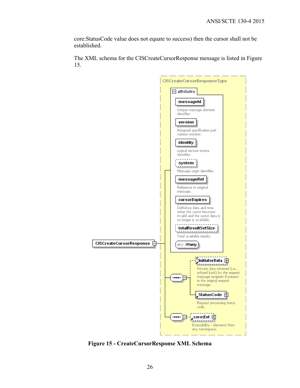core:StatusCode value does not equate to success) then the cursor shall not be established.

The XML schema for the CISCreateCursorResponse message is listed in Figure 15.



**Figure 15 - CreateCursorResponse XML Schema**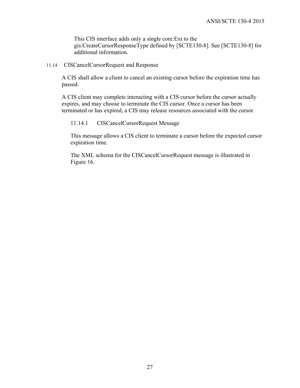This CIS interface adds only a single core:Ext to the gis:CreateCursorResponseType defined by [SCTE130-8]. See [SCTE130-8] for additional information.

11.14 CISCancelCursorRequest and Response

A CIS shall allow a client to cancel an existing cursor before the expiration time has passed.

A CIS client may complete interacting with a CIS cursor before the cursor actually expires, and may choose to terminate the CIS cursor. Once a cursor has been terminated or has expired, a CIS may release resources associated with the cursor.

11.14.1 CISCancelCursorRequest Message

 This message allows a CIS client to terminate a cursor before the expected cursor expiration time.

 The XML schema for the CISCancelCursorRequest message is illustrated in Figure 16.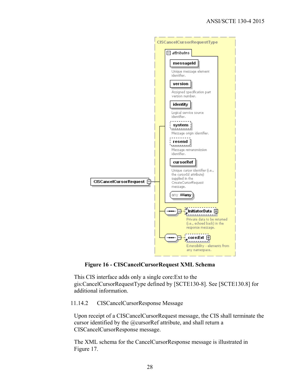

**Figure 16 - CISCancelCursorRequest XML Schema** 

This CIS interface adds only a single core:Ext to the gis:CancelCursorRequestType defined by [SCTE130-8]. See [SCTE130.8] for additional information.

11.14.2 CISCancelCursorResponse Message

Upon receipt of a CISCancelCursorRequest message, the CIS shall terminate the cursor identified by the @cursorRef attribute, and shall return a CISCancelCursorResponse message.

The XML schema for the CancelCursorResponse message is illustrated in Figure 17.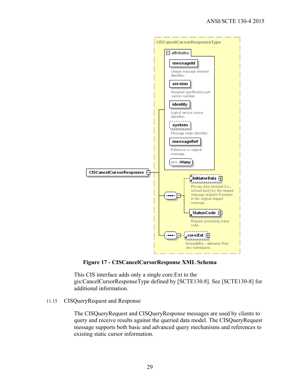

**Figure 17 - CISCancelCursorResponse XML Schema** 

This CIS interface adds only a single core:Ext to the gis:CancelCursorResponseType defined by [SCTE130.8]. See [SCTE130-8] for additional information.

#### 11.15 CISQueryRequest and Response

The CISQueryRequest and CISQueryResponse messages are used by clients to query and receive results against the queried data model. The CISQueryRequest message supports both basic and advanced query mechanisms and references to existing static cursor information.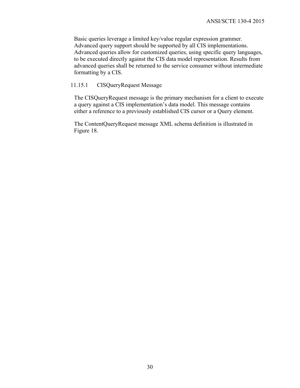Basic queries leverage a limited key/value regular expression grammer. Advanced query support should be supported by all CIS implementations. Advanced queries allow for customized queries, using specific query languages, to be executed directly against the CIS data model representation. Results from advanced queries shall be returned to the service consumer without intermediate formatting by a CIS.

#### 11.15.1 CISQueryRequest Message

The CISQueryRequest message is the primary mechanism for a client to execute a query against a CIS implementation's data model. This message contains either a reference to a previously established CIS cursor or a Query element.

The ContentQueryRequest message XML schema definition is illustrated in Figure 18.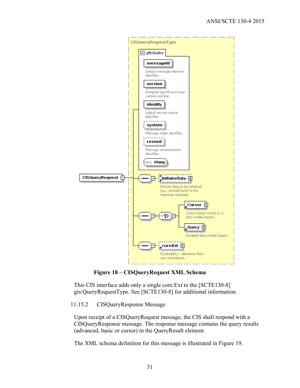

**Figure 18 – CISQueryRequest XML Schema** 

This CIS interface adds only a single core:Ext to the [SCTE130-8] gis:QueryRequestType. See [SCTE130-8] for additional information.

#### 11.15.2 CISQueryResponse Message

Upon receipt of a CISQueryRequest message, the CIS shall respond with a CISQueryResponse message. The response message contains the query results (advanced, basic or cursor) in the QueryResult element.

The XML schema definition for this message is illustrated in Figure 19.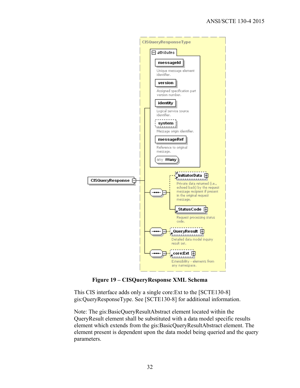

**Figure 19 – CISQueryResponse XML Schema** 

This CIS interface adds only a single core:Ext to the [SCTE130-8] gis:QueryResponseType. See [SCTE130-8] for additional information.

Note: The gis:BasicQueryResultAbstract element located within the QueryResult element shall be substituted with a data model specific results element which extends from the gis:BasicQueryResultAbstract element. The element present is dependent upon the data model being queried and the query parameters.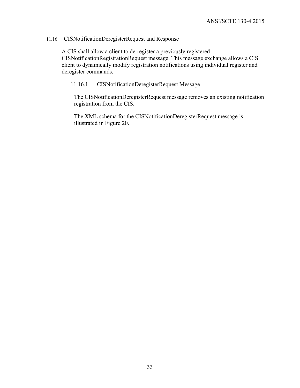## 11.16 CISNotificationDeregisterRequest and Response

A CIS shall allow a client to de-register a previously registered CISNotificationRegistrationRequest message. This message exchange allows a CIS client to dynamically modify registration notifications using individual register and deregister commands.

#### 11.16.1 CISNotificationDeregisterRequest Message

The CISNotificationDeregisterRequest message removes an existing notification registration from the CIS.

The XML schema for the CISNotificationDeregisterRequest message is illustrated in Figure 20.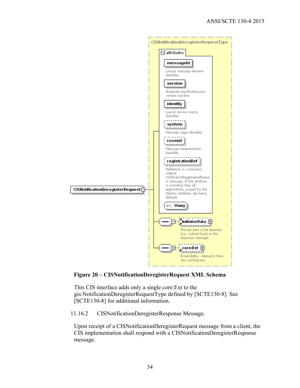

**Figure 20 – CISNotificationDeregisterRequest XML Schema** 

This CIS interface adds only a single core:Ext to the gis:NotificationDeregisterRequestType defined by [SCTE130-8]. See [SCTE130-8] for additional information.

11.16.2 CISNotificationDeregisterResponse Message.

Upon receipt of a CISNotificationDeregisterRequest message from a client, the CIS implementation shall respond with a CISNotificationDeregisterResponse message.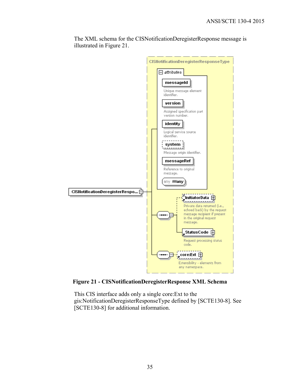

The XML schema for the CISNotificationDeregisterResponse message is illustrated in Figure 21.

**Figure 21 - CISNotificationDeregisterResponse XML Schema** 

This CIS interface adds only a single core:Ext to the gis:NotificationDeregisterResponseType defined by [SCTE130-8]. See [SCTE130-8] for additional information.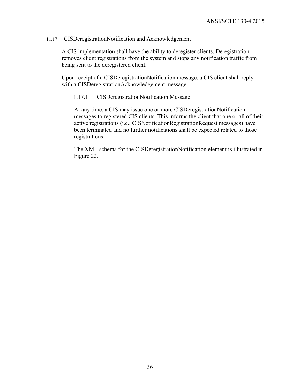#### 11.17 CISDeregistrationNotification and Acknowledgement

A CIS implementation shall have the ability to deregister clients. Deregistration removes client registrations from the system and stops any notification traffic from being sent to the deregistered client.

Upon receipt of a CISDeregistrationNotification message, a CIS client shall reply with a CISDeregistrationAcknowledgement message.

#### 11.17.1 CISDeregistrationNotification Message

At any time, a CIS may issue one or more CISDeregistrationNotification messages to registered CIS clients. This informs the client that one or all of their active registrations (i.e., CISNotificationRegistrationRequest messages) have been terminated and no further notifications shall be expected related to those registrations.

The XML schema for the CISDeregistrationNotification element is illustrated in Figure 22.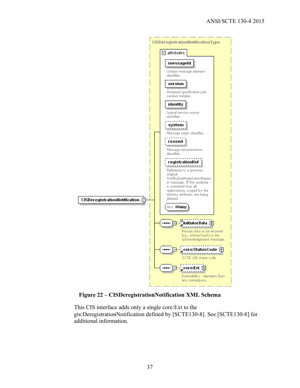

**Figure 22 – CISDeregistrationNotification XML Schema** 

This CIS interface adds only a single core:Ext to the gis:DeregistrationNotification defined by [SCTE130-8]. See [SCTE130-8] for additional information.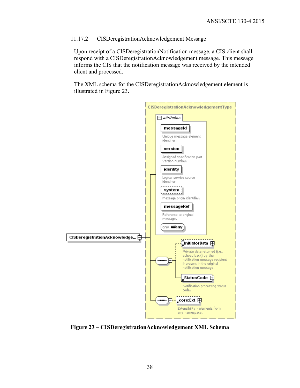#### 11.17.2 CISDeregistrationAcknowledgement Message

Upon receipt of a CISDeregistrationNotification message, a CIS client shall respond with a CISDeregistrationAcknowledgement message. This message informs the CIS that the notification message was received by the intended client and processed.

The XML schema for the CISDeregistrationAcknowledgement element is illustrated in Figure 23.



**Figure 23 – CISDeregistrationAcknowledgement XML Schema**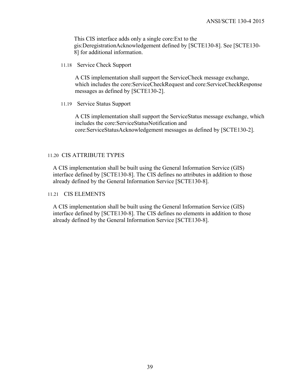This CIS interface adds only a single core:Ext to the gis:DeregistrationAcknowledgement defined by [SCTE130-8]. See [SCTE130- 8] for additional information.

11.18 Service Check Support

A CIS implementation shall support the ServiceCheck message exchange, which includes the core:ServiceCheckRequest and core:ServiceCheckResponse messages as defined by [SCTE130-2].

11.19 Service Status Support

A CIS implementation shall support the ServiceStatus message exchange, which includes the core:ServiceStatusNotification and core:ServiceStatusAcknowledgement messages as defined by [SCTE130-2].

#### 11.20 CIS ATTRIBUTE TYPES

A CIS implementation shall be built using the General Information Service (GIS) interface defined by [SCTE130-8]. The CIS defines no attributes in addition to those already defined by the General Information Service [SCTE130-8].

#### 11.21 CIS ELEMENTS

A CIS implementation shall be built using the General Information Service (GIS) interface defined by [SCTE130-8]. The CIS defines no elements in addition to those already defined by the General Information Service [SCTE130-8].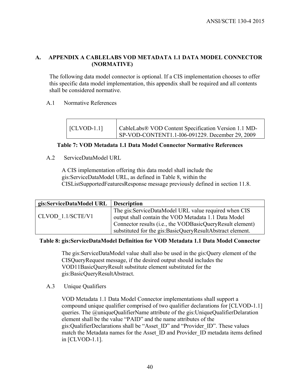## **A. APPENDIX A CABLELABS VOD METADATA 1.1 DATA MODEL CONNECTOR (NORMATIVE)**

The following data model connector is optional. If a CIS implementation chooses to offer this specific data model implementation, this appendix shall be required and all contents shall be considered normative.

## A.1 Normative References

| $\vert$ [CLVOD-1.1] | CableLabs® VOD Content Specification Version 1.1 MD- |
|---------------------|------------------------------------------------------|
|                     | SP-VOD-CONTENT1.1-I06-091229. December 29, 2009      |

## **Table 7: VOD Metadata 1.1 Data Model Connector Normative References**

## A.2 ServiceDataModel URL

A CIS implementation offering this data model shall include the gis:ServiceDataModel URL, as defined in Table 8, within the CISListSupportedFeaturesResponse message previously defined in section 11.8.

| gis:ServiceDataModel URL | <b>Description</b>                                        |
|--------------------------|-----------------------------------------------------------|
|                          | The gis:ServiceDataModel URL value required when CIS      |
| CLVOD 1.1/SCTE/V1        | output shall contain the VOD Metadata 1.1 Data Model      |
|                          | Connector results (i.e., the VODBasicQueryResult element) |
|                          | substituted for the gis:BasicQueryResultAbstract element. |

## **Table 8: gis:ServiceDataModel Definition for VOD Metadata 1.1 Data Model Connector**

The gis:ServiceDataModel value shall also be used in the gis:Query element of the CISQueryRequest message, if the desired output should includes the VOD11BasicQueryResult substitute element substituted for the gis:BasicQueryResultAbstract.

#### A.3 Unique Qualifiers

VOD Metadata 1.1 Data Model Connector implementations shall support a compound unique qualifier comprised of two qualifier declarations for [CLVOD-1.1] queries. The *@uniqueQualifierName attribute of the gis:UniqueQualifierDelaration* element shall be the value "PAID" and the name attributes of the gis:QualifierDeclarations shall be "Asset\_ID" and "Provider\_ID". These values match the Metadata names for the Asset ID and Provider ID metadata items defined in [CLVOD-1.1].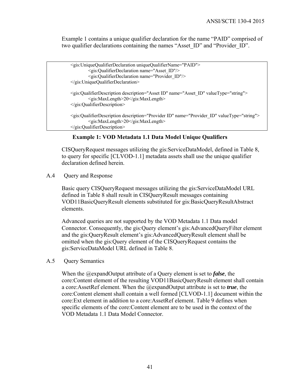Example 1 contains a unique qualifier declaration for the name "PAID" comprised of two qualifier declarations containing the names "Asset ID" and "Provider ID".

```
 <gis:UniqueQualifierDeclaration uniqueQualifierName="PAID"> 
         <gis:QualifierDeclaration name="Asset_ID"/> 
         <gis:QualifierDeclaration name="Provider_ID"/> 
 </gis:UniqueQualifierDeclaration> 
 <gis:QualifierDescription description="Asset ID" name="Asset_ID" valueType="string"> 
         <gis:MaxLength>20</gis:MaxLength> 
 </gis:QualifierDescription> 
 <gis:QualifierDescription description="Provider ID" name="Provider_ID" valueType="string"> 
         <gis:MaxLength>20</gis:MaxLength> 
 </gis:QualifierDescription>
```
#### **Example 1: VOD Metadata 1.1 Data Model Unique Qualifiers**

CISQueryRequest messages utilizing the gis:ServiceDataModel, defined in Table 8, to query for specific [CLVOD-1.1] metadata assets shall use the unique qualifier declaration defined herein.

A.4 Query and Response

Basic query CISQueryRequest messages utilizing the gis:ServiceDataModel URL defined in Table 8 shall result in CISQueryResult messages containing VOD11BasicQueryResult elements substituted for gis:BasicQueryResultAbstract elements.

Advanced queries are not supported by the VOD Metadata 1.1 Data model Connector. Consequently, the gis:Query element's gis:AdvancedQueryFilter element and the gis:QueryResult element's gis:AdvancedQueryResult element shall be omitted when the gis:Query element of the CISQueryRequest contains the gis:ServiceDataModel URL defined in Table 8.

#### A.5 Query Semantics

When the @expandOutput attribute of a Query element is set to *false*, the core:Content element of the resulting VOD11BasicQueryResult element shall contain a core:AssetRef element. When the @expandOutput attribute is set to *true*, the core:Content element shall contain a well formed [CLVOD-1.1] document within the core:Ext element in addition to a core:AssetRef element. Table 9 defines when specific elements of the core:Content element are to be used in the context of the VOD Metadata 1.1 Data Model Connector.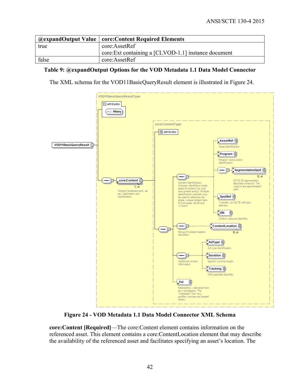|       | <i><b>@expandOutput Value   core:Content Required Elements</b></i> |
|-------|--------------------------------------------------------------------|
| true  | core:AssetRef                                                      |
|       | core: Ext containing a [CLVOD-1.1] instance document               |
| false | core:AssetRef                                                      |

## **Table 9: @expandOutput Options for the VOD Metadata 1.1 Data Model Connector**

The XML schema for the VOD11BasicQueryResult element is illustrated in Figure 24.



**Figure 24 - VOD Metadata 1.1 Data Model Connector XML Schema** 

**core:Content [Required]**—The core:Content element contains information on the referenced asset. This element contains a core:ContentLocation element that may describe the availability of the referenced asset and facilitates specifying an asset's location. The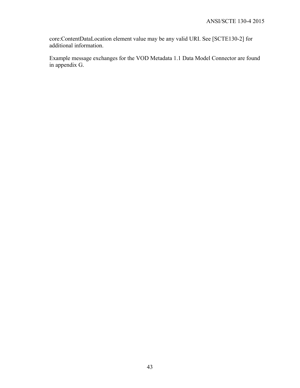core:ContentDataLocation element value may be any valid URI. See [SCTE130-2] for additional information.

Example message exchanges for the VOD Metadata 1.1 Data Model Connector are found in appendix G.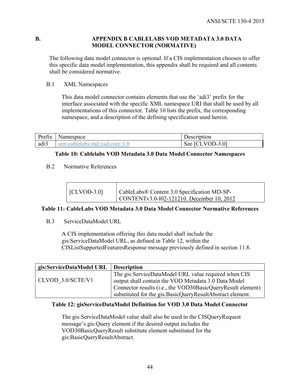#### **B. APPENDIX B CABLELABS VOD METADATA 3.0 DATA MODEL CONNECTOR (NORMATIVE)**

The following data model connector is optional. If a CIS implementation chooses to offer this specific data model implementation, this appendix shall be required and all contents shall be considered normative.

#### B.1 XML Namespaces

This data model connector contains elements that use the 'adi3' prefix for the interface associated with the specific XML namespace URI that shall be used by all implementations of this connector. Table 10 lists the prefix, the corresponding namespace, and a description of the defining specification used herein.

| $\sim$<br>∽<br>Prefix | Namespace  | Description                                   |
|-----------------------|------------|-----------------------------------------------|
| adi3                  | 114 FYS. L | $-3.01$<br>$\sqrt{}$<br>$112-$<br>$\sec$<br>້ |

## **Table 10: Cablelabs VOD Metadata 3.0 Data Model Connector Namespaces**

## B.2 Normative References

| $\vert$ [CLVOD-3.0] | CableLabs® Content 3.0 Specification MD-SP- |
|---------------------|---------------------------------------------|
|                     | CONTENT v3.0-I02-121210. December 10, 2012  |

## **Table 11: CableLabs VOD Metadata 3.0 Data Model Connector Normative References**

## B.3 ServiceDataModel URL

A CIS implementation offering this data model shall include the gis:ServiceDataModel URL, as defined in Table 12, within the CISListSupportedFeaturesResponse message previously defined in section 11.8.

| gis:ServiceDataModel URL | <b>Description</b>                                          |
|--------------------------|-------------------------------------------------------------|
|                          | The gis:ServiceDataModel URL value required when CIS        |
| CLVOD 3.0/SCTE/V1        | output shall contain the VOD Metadata 3.0 Data Model        |
|                          | Connector results (i.e., the VOD30BasicQueryResult element) |
|                          | substituted for the gis:BasicQueryResultAbstract element.   |

## **Table 12: gisServiceDataModel Definition for VOD 3.0 Data Model Connector**

The gis:ServiceDataModel value shall also be used in the CISQueryRequest message's gis:Query element if the desired output includes the VOD30BasicQueryResult substitute element substituted for the gis:BasicQueryResultAbstract.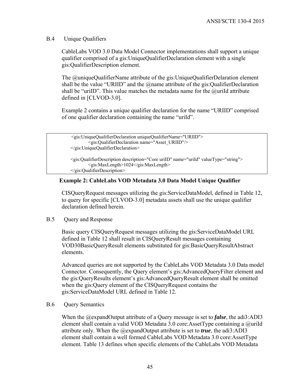B.4 Unique Qualifiers

CableLabs VOD 3.0 Data Model Connector implementations shall support a unique qualifier comprised of a gis:UniqueQualifierDeclaration element with a single gis:QualifierDescription element.

The @uniqueQualifierName attribute of the gis:UniqueQualifierDelaration element shall be the value "URIID" and the  $\omega$  manne attribute of the gis: QualifierDeclaration shall be "uriID". This value matches the metadata name for the  $@$ uriId attribute defined in [CLVOD-3.0].

Example 2 contains a unique qualifier declaration for the name "URIID" comprised of one qualifier declaration containing the name "uriId".

```
 <gis:UniqueQualifierDeclaration uniqueQualifierName="URIID"> 
         <gis:QualifierDeclaration name="Asset_URIID"/> 
 </gis:UniqueQualifierDeclaration> 
 <gis:QualifierDescription description="Core uriID" name="uriId" valueType="string"> 
         <gis:MaxLength>1024</gis:MaxLength> 
 </gis:QualifierDescription>
```
## **Example 2: CableLabs VOD Metadata 3.0 Data Model Unique Qualifier**

CISQueryRequest messages utilizing the gis:ServiceDataModel, defined in Table 12, to query for specific [CLVOD-3.0] metadata assets shall use the unique qualifier declaration defined herein.

B.5 Query and Response

Basic query CISQueryRequest messages utilizing the gis:ServiceDataModel URL defined in Table 12 shall result in CISQueryResult messages containing VOD30BasicQueryResult elements substituted for gis:BasicQueryResultAbstract elements.

Advanced queries are not supported by the CableLabs VOD Metadata 3.0 Data model Connector. Consequently, the Query element's gis:AdvancedQueryFilter element and the gis:QueryResults element's gis:AdvancedQueryResult element shall be omitted when the gis:Query element of the CISQueryRequest contains the gis:ServiceDataModel URL defined in Table 12.

#### B.6 Query Semantics

When the @expandOutput attribute of a Query message is set to *false*, the adi3:ADI3 element shall contain a valid VOD Metadata 3.0 core:AssetType containing a @uriId attribute only. When the @expandOutput attribute is set to *true*, the adi3:ADI3 element shall contain a well formed CableLabs VOD Metadata 3.0 core:AssetType element. Table 13 defines when specific elements of the CableLabs VOD Metadata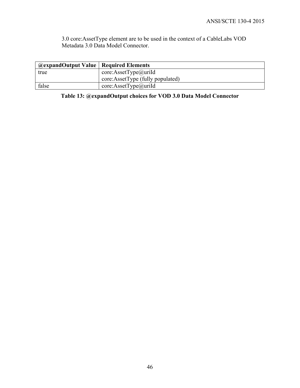3.0 core:AssetType element are to be used in the context of a CableLabs VOD Metadata 3.0 Data Model Connector.

| true  | core: AssetType@urild            |
|-------|----------------------------------|
|       | core:AssetType (fully populated) |
| false | core: AssetType@urild            |

**Table 13: @expandOutput choices for VOD 3.0 Data Model Connector**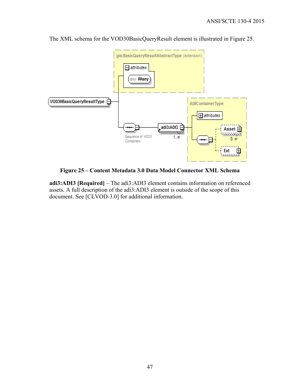

The XML schema for the VOD30BasicQueryResult element is illustrated in Figure 25.

**Figure 25 – Content Metadata 3.0 Data Model Connector XML Schema** 

**adi3:ADI3 [Required]** – The adi3:ADI3 element contains information on referenced assets. A full description of the adi3:ADI3 element is outside of the scope of this document. See [CLVOD-3.0] for additional information.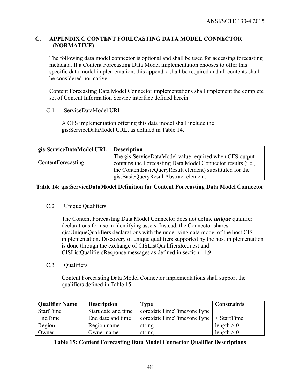## **C. APPENDIX C CONTENT FORECASTING DATA MODEL CONNECTOR (NORMATIVE)**

The following data model connector is optional and shall be used for accessing forecasting metadata. If a Content Forecasting Data Model implementation chooses to offer this specific data model implementation, this appendix shall be required and all contents shall be considered normative.

Content Forecasting Data Model Connector implementations shall implement the complete set of Content Information Service interface defined herein.

C.1 ServiceDataModel URL

A CFS implementation offering this data model shall include the gis:ServiceDataModel URL, as defined in Table 14.

| gis:ServiceDataModel URL | <b>Description</b>                                           |
|--------------------------|--------------------------------------------------------------|
|                          | The gis:ServiceDataModel value required when CFS output      |
| ContentForecasting       | contains the Forecasting Data Model Connector results (i.e., |
|                          | the ContentBasicQueryResult element) substituted for the     |
|                          | gis:BasicQueryResultAbstract element.                        |

## **Table 14: gis:ServiceDataModel Definition for Content Forecasting Data Model Connector**

## C.2 Unique Qualifiers

The Content Forecasting Data Model Connector does not define *unique* qualifier declarations for use in identifying assets. Instead, the Connector shares gis:UniqueQualifiers declarations with the underlying data model of the host CIS implementation. Discovery of unique qualifiers supported by the host implementation is done through the exchange of CISListQualifiersRequest and CISListQualifiersResponse messages as defined in section 11.9.

C.3 Oualifiers

Content Forecasting Data Model Connector implementations shall support the qualifiers defined in Table 15.

| <b>Qualifier Name</b> | <b>Description</b>  | Type                                                                       | <b>Constraints</b> |
|-----------------------|---------------------|----------------------------------------------------------------------------|--------------------|
| StartTime             | Start date and time | core:dateTimeTimezoneType                                                  |                    |
| EndTime               | End date and time   | $\text{core:} \text{dateTime} \text{Time} \text{Type } \text{> StartTime}$ |                    |
| Region                | Region name         | string                                                                     | length $> 0$       |
| Owner                 | Owner name          | string                                                                     | length $> 0$       |

**Table 15: Content Forecasting Data Model Connector Qualifier Descriptions**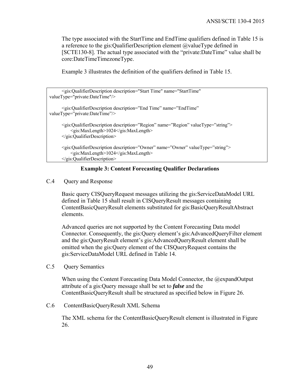The type associated with the StartTime and EndTime qualifiers defined in Table 15 is a reference to the gis:QualifierDescription element  $@$ valueType defined in [SCTE130-8]. The actual type associated with the "private:DateTime" value shall be core:DateTimeTimezoneType.

Example 3 illustrates the definition of the qualifiers defined in Table 15.

| <gis:qualifierdescription <br="" description="Start Time" name="StartTime">valueType="private:DateTime"/&gt;</gis:qualifierdescription>                                                               |
|-------------------------------------------------------------------------------------------------------------------------------------------------------------------------------------------------------|
| $\leq$ gis:QualifierDescription description="End Time" name="EndTime"<br>valueType="private:DateTime"/>                                                                                               |
| <gis:qualifierdescription description="Region" name="Region" valuetype="string"><br/><gis:maxlength>1024</gis:maxlength><br/><math>\leq</math>gis:QualifierDescription&gt;</gis:qualifierdescription> |
| $\leq$ gis:QualifierDescription description="Owner" name="Owner" valueType="string"><br><gis:maxlength>1024</gis:maxlength><br>$\le$ /gis:QualifierDescription>                                       |

## **Example 3: Content Forecasting Qualifier Declarations**

#### C.4 Query and Response

Basic query CISQueryRequest messages utilizing the gis:ServiceDataModel URL defined in Table 15 shall result in CISQueryResult messages containing ContentBasicQueryResult elements substituted for gis:BasicQueryResultAbstract elements.

Advanced queries are not supported by the Content Forecasting Data model Connector. Consequently, the gis:Query element's gis:AdvancedQueryFilter element and the gis:QueryResult element's gis:AdvancedQueryResult element shall be omitted when the gis:Query element of the CISQueryRequest contains the gis:ServiceDataModel URL defined in Table 14.

C.5 Query Semantics

When using the Content Forecasting Data Model Connector, the @expandOutput attribute of a gis:Query message shall be set to *false* and the ContentBasicQueryResult shall be structured as specified below in Figure 26.

#### C.6 ContentBasicQueryResult XML Schema

The XML schema for the ContentBasicQueryResult element is illustrated in Figure 26.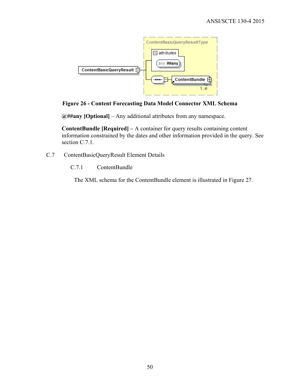

## **Figure 26 - Content Forecasting Data Model Connector XML Schema**

**@##any [Optional]** – Any additional attributes from any namespace.

**ContentBundle [Required] –** A container for query results containing content information constrained by the dates and other information provided in the query. See section C.7.1.

- C.7 ContentBasicQueryResult Element Details
	- C.7.1 ContentBundle

The XML schema for the ContentBundle element is illustrated in Figure 27.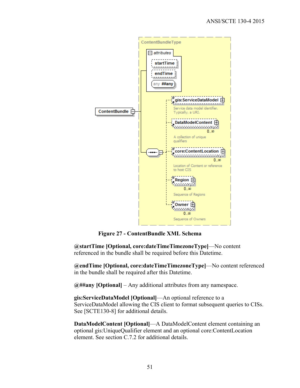

**Figure 27 - ContentBundle XML Schema** 

**@startTime [Optional, core:dateTimeTimezoneType]**—No content referenced in the bundle shall be required before this Datetime.

**@endTime [Optional, core:dateTimeTimezoneType]**—No content referenced in the bundle shall be required after this Datetime.

**@##any [Optional]** – Any additional attributes from any namespace.

**gis:ServiceDataModel [Optional]**—An optional reference to a ServiceDataModel allowing the CIS client to format subsequent queries to CISs. See [SCTE130-8] for additional details.

**DataModelContent [Optional]**—A DataModelContent element containing an optional gis:UniqueQualifier element and an optional core:ContentLocation element. See section C.7.2 for additional details.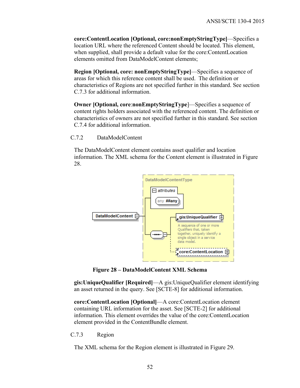**core:ContentLocation [Optional, core:nonEmptyStringType]**—Specifies a location URL where the referenced Content should be located. This element, when supplied, shall provide a default value for the core:ContentLocation elements omitted from DataModelContent elements;

**Region [Optional, core: nonEmptyStringType]**—Specifies a sequence of areas for which this reference content shall be used. The definition or characteristics of Regions are not specified further in this standard. See section C.7.3 for additional information.

**Owner [Optional, core**:**nonEmptyStringType**]—Specifies a sequence of content rights holders associated with the referenced content. The definition or characteristics of owners are not specified further in this standard. See section C.7.4 for additional information.

C.7.2 DataModelContent

The DataModelContent element contains asset qualifier and location information. The XML schema for the Content element is illustrated in Figure 28.



**Figure 28 – DataModelContent XML Schema** 

**gis:UniqueQualifier [Required]**—A gis:UniqueQualifier element identifying an asset returned in the query. See [SCTE-8] for additional information.

**core:ContentLocation [Optional]**—A core:ContentLocation element containing URL information for the asset. See [SCTE-2] for additional information. This element overrides the value of the core:ContentLocation element provided in the ContentBundle element.

C.7.3 Region

The XML schema for the Region element is illustrated in Figure 29.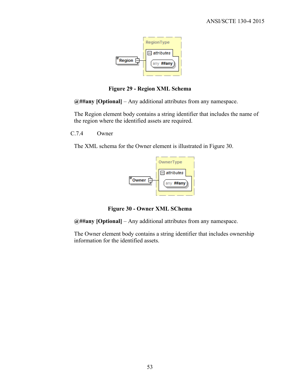

**Figure 29 - Region XML Schema** 

**@##any [Optional]** – Any additional attributes from any namespace.

The Region element body contains a string identifier that includes the name of the region where the identified assets are required.

C.7.4 Owner

The XML schema for the Owner element is illustrated in Figure 30.



**Figure 30 - Owner XML SChema** 

**@##any [Optional]** – Any additional attributes from any namespace.

The Owner element body contains a string identifier that includes ownership information for the identified assets.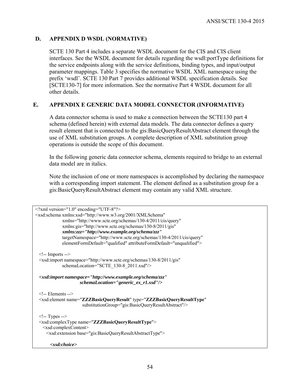## **D. APPENDIX D WSDL (NORMATIVE)**

SCTE 130 Part 4 includes a separate WSDL document for the CIS and CIS client interfaces. See the WSDL document for details regarding the wsdl:portType definitions for the service endpoints along with the service definitions, binding types, and input/output parameter mappings. Table 3 specifies the normative WSDL XML namespace using the prefix 'wsdl'. SCTE 130 Part 7 provides additional WSDL specification details. See [SCTE130-7] for more information. See the normative Part 4 WSDL document for all other details.

## **E. APPENDIX E GENERIC DATA MODEL CONNECTOR (INFORMATIVE)**

A data connector schema is used to make a connection between the SCTE130 part 4 schema (defined herein) with external data models. The data connector defines a query result element that is connected to the gis:BasicQueryResultAbstract element through the use of XML substitution groups. A complete description of XML substitution group operations is outside the scope of this document.

In the following generic data connector schema, elements required to bridge to an external data model are in italics.

Note the inclusion of one or more namespaces is accomplished by declaring the namespace with a corresponding import statement. The element defined as a substitution group for a gis:BasicQueryResultAbstract element may contain any valid XML structure.

```
<?xml version="1.0" encoding="UTF-8"?> 
<xsd:schema xmlns:xsd="http://www.w3.org/2001/XMLSchema" 
             xmlns="http://www.scte.org/schemas/130-4/2011/cis/query" 
             xmlns:gis="http://www.scte.org/schemas/130-8/2011/gis"
             xmlns:zzz="http://www.example.org/schema/zzz" 
             targetNamespace="http://www.scte.org/schemas/130-4/2011/cis/query" 
             elementFormDefault="qualified" attributeFormDefault="unqualified"> 
 \leq!-- Imports -->
  <xsd:import namespace="http://www.scte.org/schemas/130-8/2011/gis" 
             schemaLocation="SCTE_130-8_2011.xsd"/> 
  <xsd:import namespace="http://www.example.org/schema/zzz" 
                     schemaLocation="generic_ex_r1.xsd"/> 
  <!-- Elements --> 
  <xsd:element name="ZZZBasicQueryResult" type="ZZZBasicQueryResultType" 
                       substitutionGroup="gis:BasicQueryResultAbstract"/>
 \leq -- Types -->
  <xsd:complexType name="ZZZBasicQueryResultType"> 
    <xsd:complexContent> 
      <xsd:extension base="gis:BasicQueryResultAbstractType">
        <xsd:choice>
```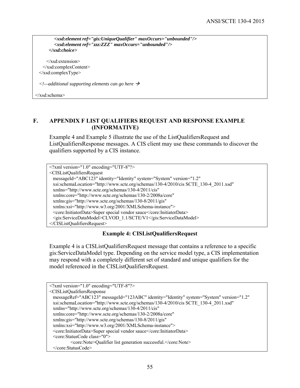```
 <xsd:element ref="gis:UniqueQualifier" maxOccurs="unbounded"/> 
         <xsd:element ref="zzz:ZZZ" maxOccurs="unbounded"/> 
       </xsd:choice>
      </xsd:extension> 
    </xsd:complexContent> 
  </xsd:complexType> 
  <!—additional supporting elements can go here 
</xsd:schema>
```
## **F. APPENDIX F LIST QUALIFIERS REQUEST AND RESPONSE EXAMPLE (INFORMATIVE)**

Example 4 and Example 5 illustrate the use of the ListQualifiersRequest and ListQualifiersResponse messages. A CIS client may use these commands to discover the qualifiers supported by a CIS instance.

```
<?xml version="1.0" encoding="UTF-8"?> 
<CISListQualifiersRequest 
  messageId="ABC123" identity="Identity" system="System" version="1.2" 
  xsi:schemaLocation="http://www.scte.org/schemas/130-4/2010/cis SCTE_130-4_2011.xsd" 
  xmlns="http://www.scte.org/schemas/130-4/2011/cis" 
  xmlns:core="http://www.scte.org/schemas/130-2/2008a/core" 
  xmlns:gis="http://www.scte.org/schemas/130-8/2011/gis" 
  xmlns:xsi="http://www.w3.org/2001/XMLSchema-instance"> 
  <core:InitiatorData>Super special vendor sauce</core:InitiatorData> 
  <gis:ServiceDataModel>CLVOD_1.1/SCTE/V1</gis:ServiceDataModel>
</CISListQualifiersRequest>
```
#### **Example 4: CISListQualifiersRequest**

Example 4 is a CISListQualifiersRequest message that contains a reference to a specific gis:ServiceDataModel type. Depending on the service model type, a CIS implementation may respond with a completely different set of standard and unique qualifiers for the model referenced in the CISListQualifiersRequest.

```
<?xml version="1.0" encoding="UTF-8"?> 
<CISListQualifiersResponse 
  messageRef="ABC123" messageId="123ABC" identity="Identity" system="System" version="1.2" 
  xsi:schemaLocation="http://www.scte.org/schemas/130-4/2010/cis SCTE_130-4_2011.xsd" 
  xmlns="http://www.scte.org/schemas/130-4/2011/cis" 
  xmlns:core="http://www.scte.org/schemas/130-2/2008a/core" 
  xmlns:gis="http://www.scte.org/schemas/130-8/2011/gis" 
  xmlns:xsi="http://www.w3.org/2001/XMLSchema-instance"> 
  <core:InitiatorData>Super special vendor sauce</core:InitiatorData> 
  <core:StatusCode class="0"> 
           <core:Note>Qualifier list generation successful.</core:Note> 
  </core:StatusCode>
```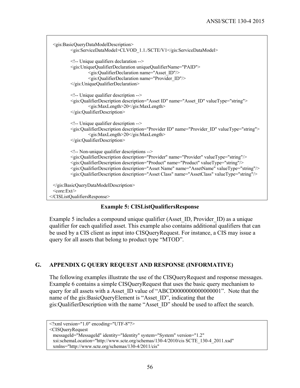```
 <gis:BasicQueryDataModelDescription> 
           <gis:ServiceDataModel>CLVOD_1.1./SCTE/V1</gis:ServiceDataModel> 
           <!-- Unique qualifiers declaration --> 
           <gis:UniqueQualifierDeclaration uniqueQualifierName="PAID"> 
                   <gis:QualifierDeclaration name="Asset_ID"/> 
                   <gis:QualifierDeclaration name="Provider_ID"/> 
           </gis:UniqueQualifierDeclaration> 
           <!-- Unique qualifier description --> 
           <gis:QualifierDescription description="Asset ID" name="Asset_ID" valueType="string"> 
                    <gis:MaxLength>20</gis:MaxLength> 
           </gis:QualifierDescription> 
           <!-- Unique qualifier description --> 
           <gis:QualifierDescription description="Provider ID" name="Provider_ID" valueType="string"> 
                    <gis:MaxLength>20</gis:MaxLength> 
           </gis:QualifierDescription> 
           <!-- Non-unique qualifier descriptions --> 
           <gis:QualifierDescription description="Provider" name="Provider" valueType="string"/> 
           <gis:QualifierDescription description="Product" name="Product" valueType="string"/> 
           <gis:QualifierDescription description="Asset Name" name="AssetName" valueType="string"/> 
           <gis:QualifierDescription description="Asset Class" name="AssetClass" valueType="string"/> 
  </gis:BasicQueryDataModelDescription> 
 <core:Ext/>
</CISListQualifiersResponse>
```
## **Example 5: CISListQualifiersResponse**

Example 5 includes a compound unique qualifier (Asset\_ID, Provider\_ID) as a unique qualifier for each qualified asset. This example also contains additional qualifiers that can be used by a CIS client as input into CISQueryRequest. For instance, a CIS may issue a query for all assets that belong to product type "MTOD".

## **G. APPENDIX G QUERY REQUEST AND RESPONSE (INFORMATIVE)**

The following examples illustrate the use of the CISQueryRequest and response messages. Example 6 contains a simple CISQueryRequest that uses the basic query mechanism to query for all assets with a Asset ID value of "ABCD0000000000000001". Note that the name of the gis:BasicQueryElement is "Asset\_ID", indicating that the gis:QualifierDescription with the name "Asset\_ID" should be used to affect the search.

```
<?xml version="1.0" encoding="UTF-8"?> 
<CISQueryRequest 
  messageId="MessageId" identity="Identity" system="System" version="1.2" 
  xsi:schemaLocation="http://www.scte.org/schemas/130-4/2010/cis SCTE_130-4_2011.xsd" 
  xmlns="http://www.scte.org/schemas/130-4/2011/cis"
```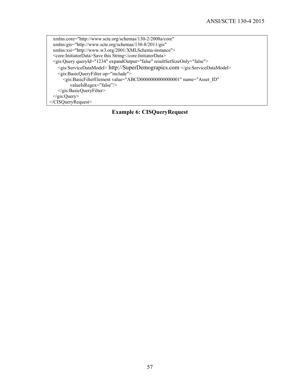xmlns:core="http://www.scte.org/schemas/130-2/2008a/core" xmlns:gis="http://www.scte.org/schemas/130-8/2011/gis" xmlns:xsi="http://www.w3.org/2001/XMLSchema-instance"> <core:InitiatorData>Save this String</core:InitiatorData> <gis:Query queryId="1234" expandOutput="false" resultSetSizeOnly="false"> <gis:ServiceDataModel> http://SuperDemograpics.com </gis:ServiceDataModel> <gis:BasicQueryFilter op="include"> <gis:BasicFilterElement value="ABCD0000000000000001" name="Asset\_ID" valueIsRegex="false"/> </gis:BasicQueryFilter> </gis:Query> </CISQueryRequest>

**Example 6: CISQueryRequest**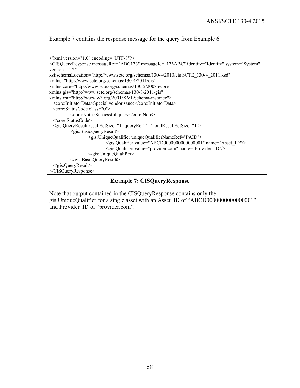Example 7 contains the response message for the query from Example 6.



#### **Example 7: CISQueryResponse**

Note that output contained in the CISQueryResponse contains only the gis:UniqueQualifier for a single asset with an Asset\_ID of "ABCD0000000000000001" and Provider ID of "provider.com".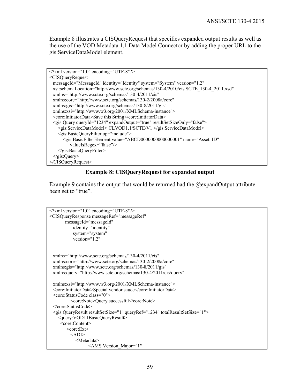Example 8 illustrates a CISQueryRequest that specifies expanded output results as well as the use of the VOD Metadata 1.1 Data Model Connector by adding the proper URL to the gis:ServiceDataModel element.



#### **Example 8: CISQueryRequest for expanded output**

Example 9 contains the output that would be returned had the @expandOutput attribute been set to "true".

```
<?xml version="1.0" encoding="UTF-8"?> 
<CISQueryResponse messageRef="messageRef" 
        messageId="messageId" 
            identity="identity" 
            system="system" 
            version="1.2" 
  xmlns="http://www.scte.org/schemas/130-4/2011/cis" 
  xmlns:core="http://www.scte.org/schemas/130-2/2008a/core" 
  xmlns:gis="http://www.scte.org/schemas/130-8/2011/gis" 
  xmlns:query="http://www.scte.org/schemas/130-4/2011/cis/query"
  xmlns:xsi="http://www.w3.org/2001/XMLSchema-instance"> 
  <core:InitiatorData>Special vendor sauce</core:InitiatorData> 
  <core:StatusCode class="0"> 
           <core:Note>Query successful</core:Note> 
  </core:StatusCode> 
  <gis:QueryResult resultSetSize="1" queryRef="1234" totalResultSetSize="1"> 
     <query:VOD11BasicQueryResult> 
      <core:Content> 
         <core:Ext> 
          <ADI> <Metadata> 
                   <AMS Version_Major="1"
```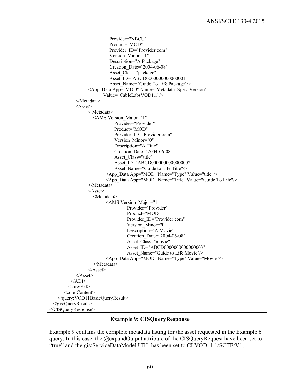```
 Provider="NBCU" 
                            Product="MOD" 
                           Provider_ID="Provider.com"
                           Version Minor="1"
                            Description="A Package" 
                            Creation_Date="2004-06-08" 
                           Asset Class="package"
                            Asset_ID="ABCD0000000000000001" 
                           Asset Name="Guide To Life Package"/>
                  <App_Data App="MOD" Name="Metadata_Spec_Version" 
                         Value="CableLabsVOD1.1"/> 
            </Metadata> 
           <Asset> < Metadata> 
                     <AMS Version_Major="1" 
                              Provider="Provider" 
                              Product="MOD" 
                             Provider_ID="Provider.com"
                              Version Minor="0"
                              Description="A Title" 
                              Creation_Date="2004-06-08" 
                             Asset_Class="title"
                             Asset ID="ABCD0000000000000002"
                              Asset Name="Guide to Life Title"/>
                          <App_Data App="MOD" Name="Type" Value="title"/> 
                           <App_Data App="MOD" Name="Title" Value="Guide To Life"/> 
                  </Metadata> 
                 <Asset> <Metadata> 
                          <AMS Version_Major="1" 
                                    Provider="Provider" 
                                    Product="MOD" 
                                   Provider_ID="Provider.com"
                                   Version_Minor="0"
                                    Description="A Movie" 
                                    Creation_Date="2004-06-08" 
                                   Asset Class="movie"
                                   Asset ID="ABCD0000000000000003"
                                   Asset Name="Guide to Life Movie"/>
                          <App_Data App="MOD" Name="Type" Value="Movie"/> 
                     </Metadata> 
                 </Asset>
           </Asset>
         <ADI>
         <core:Ext> 
       <core:Content> 
    </query:VOD11BasicQueryResult> 
  </gis:QueryResult> 
</CISQueryResponse>
```
## **Example 9: CISQueryResponse**

Example 9 contains the complete metadata listing for the asset requested in the Example 6 query. In this case, the @expandOutput attribute of the CISQueryRequest have been set to "true" and the gis:ServiceDataModel URL has been set to CLVOD\_1.1/SCTE/V1,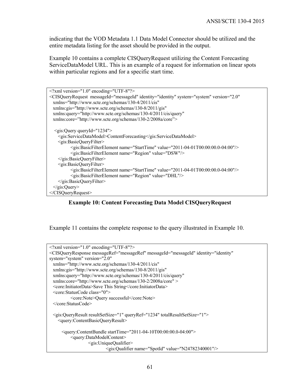indicating that the VOD Metadata 1.1 Data Model Connector should be utilized and the entire metadata listing for the asset should be provided in the output.

Example 10 contains a complete CISQueryRequest utilizing the Content Forecasting ServiceDataModel URL. This is an example of a request for information on linear spots within particular regions and for a specific start time.

| $\leq$ ?xml version="1.0" encoding="UTF-8"?>                                                                           |  |  |
|------------------------------------------------------------------------------------------------------------------------|--|--|
| <cisqueryrequest <="" identity="identity" messageid="messageId" system="system" td="" version="2.0"></cisqueryrequest> |  |  |
| xmlns="http://www.scte.org/schemas/130-4/2011/cis"                                                                     |  |  |
| xmlns:gis="http://www.scte.org/schemas/130-8/2011/gis"                                                                 |  |  |
| xmlns:query="http://www.scte.org/schemas/130-4/2011/cis/query"                                                         |  |  |
| xmlns:core="http://www.scte.org/schemas/130-2/2008a/core">                                                             |  |  |
|                                                                                                                        |  |  |
| $\leq$ gis:Query queryId="1234">                                                                                       |  |  |
| <gis:servicedatamodel>ContentForecasting</gis:servicedatamodel>                                                        |  |  |
| <gis:basicqueryfilter></gis:basicqueryfilter>                                                                          |  |  |
| <gis:basicfilterelement name="StartTime" value="2011-04-01T00:00:00.0-04:00"></gis:basicfilterelement>                 |  |  |
| <gis:basicfilterelement name="Region" value="DSW"></gis:basicfilterelement>                                            |  |  |
|                                                                                                                        |  |  |
| <gis:basicqueryfilter></gis:basicqueryfilter>                                                                          |  |  |
| <gis:basicfilterelement name="StartTime" value="2011-04-01T00:00:00.0-04:00"></gis:basicfilterelement>                 |  |  |
| <gis:basicfilterelement name="Region" value="DHL"></gis:basicfilterelement>                                            |  |  |
|                                                                                                                        |  |  |
| $\langle$ gis:Query>                                                                                                   |  |  |
| $\langle$ CISQueryRequest>                                                                                             |  |  |

**Example 10: Content Forecasting Data Model CISQueryRequest** 

Example 11 contains the complete response to the query illustrated in Example 10.

```
<?xml version="1.0" encoding="UTF-8"?> 
<CISQueryResponse messageRef="messageRef" messageId="messageId" identity="identity" 
system="system" version="2.0" 
  xmlns="http://www.scte.org/schemas/130-4/2011/cis" 
  xmlns:gis="http://www.scte.org/schemas/130-8/2011/gis" 
  xmlns:query="http://www.scte.org/schemas/130-4/2011/cis/query"
  xmlns:core="http://www.scte.org/schemas/130-2/2008a/core" > 
  <core:InitiatorData>Save This String</core:InitiatorData> 
  <core:StatusCode class="0"> 
           <core:Note>Query successful</core:Note> 
  </core:StatusCode> 
  <gis:QueryResult resultSetSize="1" queryRef="1234" totalResultSetSize="1"> 
     <query:ContentBasicQueryResult> 
       <query:ContentBundle startTime="2011-04-10T00:00:00.0-04:00"> 
           <query:DataModelContent> 
                   <gis:UniqueQualifier> 
                            <gis:Qualifier name="SpotId" value="N24782340001"/>
```